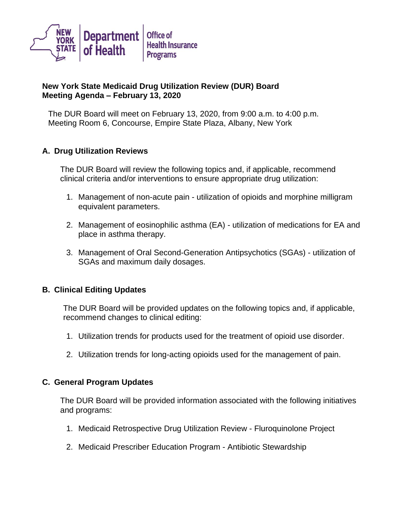

## **New York State Medicaid Drug Utilization Review (DUR) Board Meeting Agenda – February 13, 2020**

The DUR Board will meet on February 13, 2020, from 9:00 a.m. to 4:00 p.m. Meeting Room 6, Concourse, Empire State Plaza, Albany, New York

## **A. Drug Utilization Reviews**

The DUR Board will review the following topics and, if applicable, recommend clinical criteria and/or interventions to ensure appropriate drug utilization:

- 1. Management of non-acute pain utilization of opioids and morphine milligram equivalent parameters.
- 2. Management of eosinophilic asthma (EA) utilization of medications for EA and place in asthma therapy.
- 3. Management of Oral Second-Generation Antipsychotics (SGAs) utilization of SGAs and maximum daily dosages.

## **B. Clinical Editing Updates**

The DUR Board will be provided updates on the following topics and, if applicable, recommend changes to clinical editing:

- 1. Utilization trends for products used for the treatment of opioid use disorder.
- 2. Utilization trends for long-acting opioids used for the management of pain.

## **C. General Program Updates**

The DUR Board will be provided information associated with the following initiatives and programs:

- 1. Medicaid Retrospective Drug Utilization Review Fluroquinolone Project
- 2. Medicaid Prescriber Education Program Antibiotic Stewardship